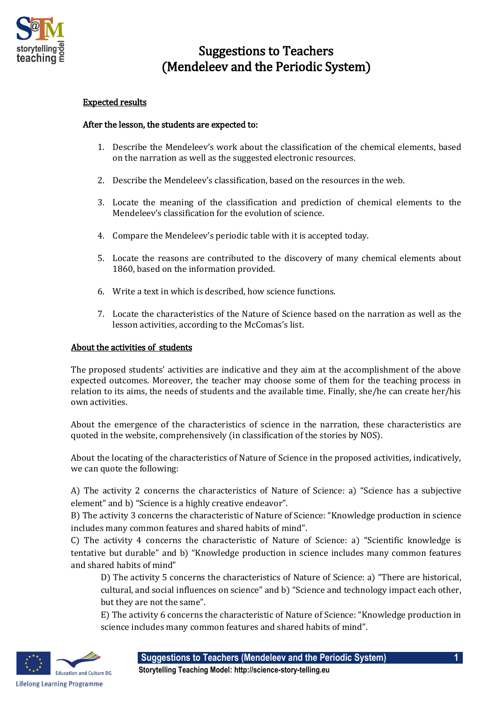

## Suggestions to Teachers (Mendeleev and the Periodic System)

## Expected results

## After the lesson, the students are expected to:

- 1. Describe the Mendeleev's work about the classification of the chemical elements, based on the narration as well as the suggested electronic resources.
- 2. Describe the Mendeleev's classification, based on the resources in the web.
- 3. Locate the meaning of the classification and prediction of chemical elements to the Mendeleev's classification for the evolution of science.
- 4. Compare the Mendeleev's periodic table with it is accepted today.
- 5. Locate the reasons are contributed to the discovery of many chemical elements about 1860, based on the information provided.
- 6. Write a text in which is described, how science functions.
- 7. Locate the characteristics of the Nature of Science based on the narration as well as the lesson activities, according to the McComas's list.

## About the activities of students

The proposed students' activities are indicative and they aim at the accomplishment of the above expected outcomes. Moreover, the teacher may choose some of them for the teaching process in relation to its aims, the needs of students and the available time. Finally, she/he can create her/his own activities.

About the emergence of the characteristics of science in the narration, these characteristics are quoted in the website, comprehensively (in classification of the stories by NOS).

About the locating of the characteristics of Nature of Science in the proposed activities, indicatively, we can quote the following:

A) The activity 2 concerns the characteristics of Nature of Science: a) "Science has a subjective element" and b) "Science is a highly creative endeavor".

B) The activity 3 concerns the characteristic of Nature of Science: "Knowledge production in science includes many common features and shared habits of mind".

C) The activity 4 concerns the characteristic of Nature of Science: a) "Scientific knowledge is tentative but durable" and b) "Knowledge production in science includes many common features and shared habits of mind"

D) The activity 5 concerns the characteristics of Nature of Science: a) "There are historical, cultural, and social influences on science" and b) "Science and technology impact each other, but they are not the same".

E) The activity 6 concerns the characteristic of Nature of Science: "Knowledge production in science includes many common features and shared habits of mind".



**Storytelling Teaching Model: http://science-story-telling.eu**